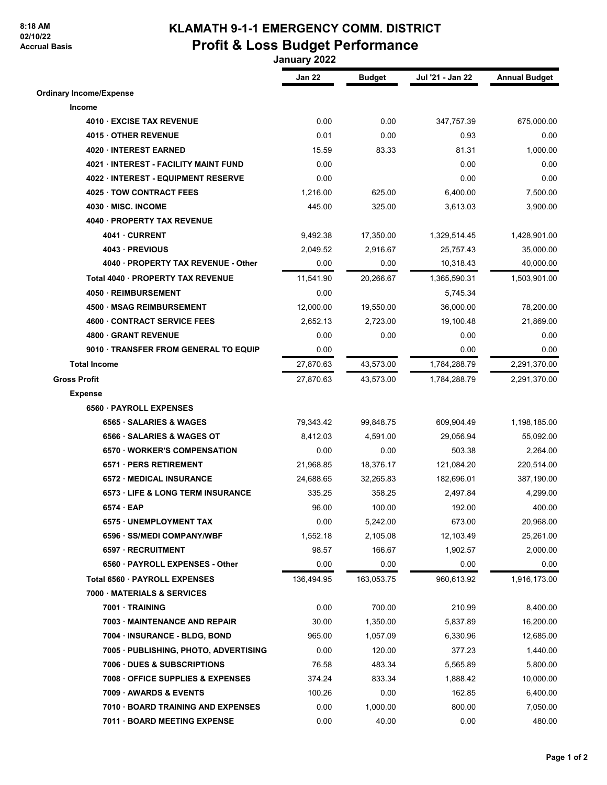## **8:18 AM 02/10/22 Accrual Basis**

## **KLAMATH 9-1-1 EMERGENCY COMM. DISTRICT Profit & Loss Budget Performance**

 **January 2022**

|                                            | Jan 22     | <b>Budget</b> | Jul '21 - Jan 22 | <b>Annual Budget</b> |
|--------------------------------------------|------------|---------------|------------------|----------------------|
| <b>Ordinary Income/Expense</b>             |            |               |                  |                      |
| Income                                     |            |               |                  |                      |
| 4010 EXCISE TAX REVENUE                    | 0.00       | 0.00          | 347,757.39       | 675,000.00           |
| 4015 OTHER REVENUE                         | 0.01       | 0.00          | 0.93             | 0.00                 |
| 4020 INTEREST EARNED                       | 15.59      | 83.33         | 81.31            | 1,000.00             |
| <b>4021 INTEREST - FACILITY MAINT FUND</b> | 0.00       |               | 0.00             | 0.00                 |
| 4022 INTEREST - EQUIPMENT RESERVE          | 0.00       |               | 0.00             | 0.00                 |
| 4025 TOW CONTRACT FEES                     | 1,216.00   | 625.00        | 6,400.00         | 7,500.00             |
| 4030 MISC. INCOME                          | 445.00     | 325.00        | 3,613.03         | 3,900.00             |
| 4040 · PROPERTY TAX REVENUE                |            |               |                  |                      |
| 4041 CURRENT                               | 9,492.38   | 17,350.00     | 1,329,514.45     | 1,428,901.00         |
| 4043 PREVIOUS                              | 2,049.52   | 2,916.67      | 25,757.43        | 35,000.00            |
| 4040 · PROPERTY TAX REVENUE - Other        | 0.00       | 0.00          | 10,318.43        | 40,000.00            |
| Total 4040 PROPERTY TAX REVENUE            | 11,541.90  | 20,266.67     | 1,365,590.31     | 1,503,901.00         |
| 4050 REIMBURSEMENT                         | 0.00       |               | 5,745.34         |                      |
| 4500 · MSAG REIMBURSEMENT                  | 12,000.00  | 19,550.00     | 36,000.00        | 78,200.00            |
| 4600 CONTRACT SERVICE FEES                 | 2,652.13   | 2.723.00      | 19,100.48        | 21,869.00            |
| 4800 GRANT REVENUE                         | 0.00       | 0.00          | 0.00             | 0.00                 |
| 9010 · TRANSFER FROM GENERAL TO EQUIP      | 0.00       |               | 0.00             | 0.00                 |
| <b>Total Income</b>                        | 27,870.63  | 43,573.00     | 1,784,288.79     | 2,291,370.00         |
| <b>Gross Profit</b>                        | 27,870.63  | 43,573.00     | 1,784,288.79     | 2,291,370.00         |
| <b>Expense</b>                             |            |               |                  |                      |
| 6560 PAYROLL EXPENSES                      |            |               |                  |                      |
| 6565 · SALARIES & WAGES                    | 79,343.42  | 99,848.75     | 609,904.49       | 1,198,185.00         |
| 6566 SALARIES & WAGES OT                   | 8,412.03   | 4,591.00      | 29,056.94        | 55,092.00            |
| 6570 · WORKER'S COMPENSATION               | 0.00       | 0.00          | 503.38           | 2,264.00             |
| 6571 PERS RETIREMENT                       | 21,968.85  | 18,376.17     | 121,084.20       | 220,514.00           |
| <b>6572 MEDICAL INSURANCE</b>              | 24,688.65  | 32,265.83     | 182,696.01       | 387,190.00           |
| <b>6573 LIFE &amp; LONG TERM INSURANCE</b> | 335.25     | 358.25        | 2,497.84         | 4,299.00             |
| $6574 \cdot EAP$                           | 96.00      | 100.00        | 192.00           | 400.00               |
| 6575 · UNEMPLOYMENT TAX                    | 0.00       | 5,242.00      | 673.00           | 20,968.00            |
| 6596 · SS/MEDI COMPANY/WBF                 | 1,552.18   | 2,105.08      | 12,103.49        | 25,261.00            |
| 6597 · RECRUITMENT                         | 98.57      | 166.67        | 1,902.57         | 2,000.00             |
| 6560 · PAYROLL EXPENSES - Other            | 0.00       | 0.00          | 0.00             | 0.00                 |
| Total 6560 PAYROLL EXPENSES                | 136,494.95 | 163,053.75    | 960,613.92       | 1,916,173.00         |
| 7000 MATERIALS & SERVICES                  |            |               |                  |                      |
| 7001 TRAINING                              | 0.00       | 700.00        | 210.99           | 8,400.00             |
| 7003 MAINTENANCE AND REPAIR                | 30.00      | 1,350.00      | 5,837.89         | 16,200.00            |
| 7004 · INSURANCE - BLDG, BOND              | 965.00     | 1,057.09      | 6,330.96         | 12,685.00            |
| 7005 · PUBLISHING, PHOTO, ADVERTISING      | 0.00       | 120.00        | 377.23           | 1,440.00             |
| <b>7006 DUES &amp; SUBSCRIPTIONS</b>       | 76.58      | 483.34        | 5,565.89         | 5,800.00             |
| 7008 OFFICE SUPPLIES & EXPENSES            | 374.24     | 833.34        | 1,888.42         | 10,000.00            |
| 7009 AWARDS & EVENTS                       | 100.26     | 0.00          | 162.85           | 6,400.00             |
| 7010 BOARD TRAINING AND EXPENSES           | 0.00       | 1,000.00      | 800.00           | 7,050.00             |
| 7011 BOARD MEETING EXPENSE                 | 0.00       | 40.00         | 0.00             | 480.00               |
|                                            |            |               |                  |                      |